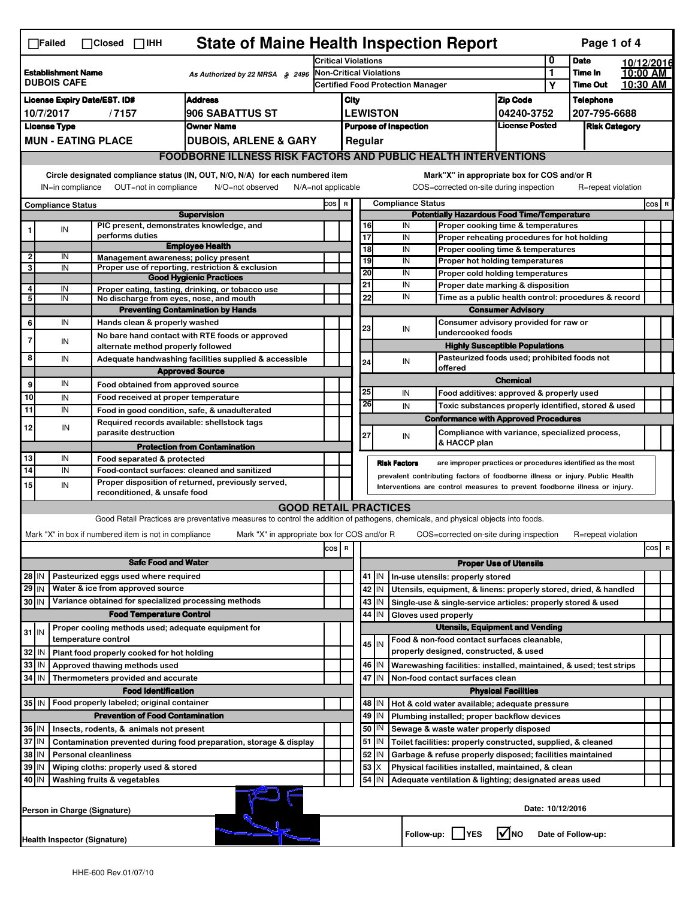|                                                                                                                               | <b>State of Maine Health Inspection Report</b><br>Page 1 of 4<br>$\Box$ Failed<br>$\Box$ Closed $\Box$ IHH                                                                                                                                                             |  |                                                                            |                                                                                                                                   |                                                                                |                                                                                                        |                                        |                                                                       |                     |                                               |                                                                       |                                       |                  |                      |  |           |
|-------------------------------------------------------------------------------------------------------------------------------|------------------------------------------------------------------------------------------------------------------------------------------------------------------------------------------------------------------------------------------------------------------------|--|----------------------------------------------------------------------------|-----------------------------------------------------------------------------------------------------------------------------------|--------------------------------------------------------------------------------|--------------------------------------------------------------------------------------------------------|----------------------------------------|-----------------------------------------------------------------------|---------------------|-----------------------------------------------|-----------------------------------------------------------------------|---------------------------------------|------------------|----------------------|--|-----------|
| <b>Establishment Name</b><br>As Authorized by 22 MRSA § 2496<br><b>DUBOIS CAFE</b>                                            |                                                                                                                                                                                                                                                                        |  |                                                                            | <b>Critical Violations</b>                                                                                                        |                                                                                |                                                                                                        |                                        |                                                                       | 0                   | <b>Date</b>                                   |                                                                       | 10/12/2016                            |                  |                      |  |           |
|                                                                                                                               |                                                                                                                                                                                                                                                                        |  | <b>Non-Critical Violations</b><br><b>Certified Food Protection Manager</b> |                                                                                                                                   |                                                                                |                                                                                                        | 1<br>Υ                                 | Time In<br><b>Time Out</b>                                            |                     | 10:00 AM<br>10:30 AM                          |                                                                       |                                       |                  |                      |  |           |
| <b>Address</b><br><b>License Expiry Date/EST. ID#</b>                                                                         |                                                                                                                                                                                                                                                                        |  |                                                                            |                                                                                                                                   | City                                                                           |                                                                                                        |                                        |                                                                       |                     |                                               |                                                                       |                                       | <b>Telephone</b> |                      |  |           |
| 10/7/2017<br>/7157<br><b>906 SABATTUS ST</b>                                                                                  |                                                                                                                                                                                                                                                                        |  |                                                                            |                                                                                                                                   |                                                                                |                                                                                                        | <b>LEWISTON</b>                        |                                                                       |                     |                                               | <b>Zip Code</b><br>04240-3752                                         |                                       | 207-795-6688     |                      |  |           |
| <b>License Type</b><br><b>Owner Name</b>                                                                                      |                                                                                                                                                                                                                                                                        |  |                                                                            |                                                                                                                                   |                                                                                |                                                                                                        | <b>Purpose of Inspection</b>           |                                                                       |                     |                                               |                                                                       | <b>License Posted</b>                 |                  | <b>Risk Category</b> |  |           |
|                                                                                                                               | <b>MUN - EATING PLACE</b>                                                                                                                                                                                                                                              |  |                                                                            | <b>DUBOIS, ARLENE &amp; GARY</b>                                                                                                  |                                                                                |                                                                                                        |                                        | Regular                                                               |                     |                                               |                                                                       |                                       |                  |                      |  |           |
|                                                                                                                               | <b>FOODBORNE ILLNESS RISK FACTORS AND PUBLIC HEALTH INTERVENTIONS</b>                                                                                                                                                                                                  |  |                                                                            |                                                                                                                                   |                                                                                |                                                                                                        |                                        |                                                                       |                     |                                               |                                                                       |                                       |                  |                      |  |           |
| Circle designated compliance status (IN, OUT, N/O, N/A) for each numbered item<br>Mark"X" in appropriate box for COS and/or R |                                                                                                                                                                                                                                                                        |  |                                                                            |                                                                                                                                   |                                                                                |                                                                                                        |                                        |                                                                       |                     |                                               |                                                                       |                                       |                  |                      |  |           |
|                                                                                                                               | OUT=not in compliance<br>IN=in compliance<br>N/O=not observed<br>$N/A = not$ applicable                                                                                                                                                                                |  |                                                                            |                                                                                                                                   |                                                                                |                                                                                                        |                                        |                                                                       |                     |                                               | COS=corrected on-site during inspection                               |                                       |                  | R=repeat violation   |  |           |
| <b>Compliance Status</b>                                                                                                      |                                                                                                                                                                                                                                                                        |  | COS R                                                                      |                                                                                                                                   | <b>Compliance Status</b><br><b>Potentially Hazardous Food Time/Temperature</b> |                                                                                                        |                                        |                                                                       |                     |                                               |                                                                       | $cos$ R                               |                  |                      |  |           |
|                                                                                                                               | IN                                                                                                                                                                                                                                                                     |  | PIC present, demonstrates knowledge, and                                   | <b>Supervision</b>                                                                                                                |                                                                                |                                                                                                        |                                        | 16                                                                    |                     | IN                                            | Proper cooking time & temperatures                                    |                                       |                  |                      |  |           |
|                                                                                                                               |                                                                                                                                                                                                                                                                        |  | performs duties                                                            |                                                                                                                                   |                                                                                |                                                                                                        |                                        | 17                                                                    |                     | IN                                            | Proper reheating procedures for hot holding                           |                                       |                  |                      |  |           |
| $\mathbf{2}$                                                                                                                  | IN                                                                                                                                                                                                                                                                     |  |                                                                            | <b>Employee Health</b>                                                                                                            |                                                                                |                                                                                                        |                                        | 18                                                                    |                     | IN                                            | Proper cooling time & temperatures                                    |                                       |                  |                      |  |           |
| 3                                                                                                                             | IN                                                                                                                                                                                                                                                                     |  | Management awareness; policy present                                       | Proper use of reporting, restriction & exclusion                                                                                  |                                                                                |                                                                                                        |                                        | 19<br>20                                                              |                     | IN<br>IN                                      | Proper hot holding temperatures                                       |                                       |                  |                      |  |           |
|                                                                                                                               |                                                                                                                                                                                                                                                                        |  |                                                                            | <b>Good Hygienic Practices</b>                                                                                                    |                                                                                |                                                                                                        |                                        | 21                                                                    |                     | IN                                            | Proper cold holding temperatures<br>Proper date marking & disposition |                                       |                  |                      |  |           |
| 4<br>5                                                                                                                        | IN<br>IN                                                                                                                                                                                                                                                               |  | No discharge from eyes, nose, and mouth                                    | Proper eating, tasting, drinking, or tobacco use                                                                                  |                                                                                |                                                                                                        |                                        | 22                                                                    |                     | IN                                            | Time as a public health control: procedures & record                  |                                       |                  |                      |  |           |
|                                                                                                                               |                                                                                                                                                                                                                                                                        |  |                                                                            | <b>Preventing Contamination by Hands</b>                                                                                          |                                                                                |                                                                                                        |                                        |                                                                       |                     |                                               | <b>Consumer Advisory</b>                                              |                                       |                  |                      |  |           |
| 6                                                                                                                             | IN                                                                                                                                                                                                                                                                     |  | Hands clean & properly washed                                              |                                                                                                                                   |                                                                                |                                                                                                        |                                        | 23                                                                    |                     | IN                                            | Consumer advisory provided for raw or                                 |                                       |                  |                      |  |           |
| 7                                                                                                                             | IN                                                                                                                                                                                                                                                                     |  |                                                                            | No bare hand contact with RTE foods or approved                                                                                   |                                                                                |                                                                                                        |                                        |                                                                       |                     |                                               | undercooked foods                                                     |                                       |                  |                      |  |           |
| 8                                                                                                                             |                                                                                                                                                                                                                                                                        |  | alternate method properly followed                                         |                                                                                                                                   |                                                                                |                                                                                                        |                                        |                                                                       |                     |                                               | Pasteurized foods used; prohibited foods not                          | <b>Highly Susceptible Populations</b> |                  |                      |  |           |
|                                                                                                                               | IN                                                                                                                                                                                                                                                                     |  |                                                                            | Adequate handwashing facilities supplied & accessible<br><b>Approved Source</b>                                                   |                                                                                |                                                                                                        |                                        | 24                                                                    |                     | IN                                            | offered                                                               |                                       |                  |                      |  |           |
| 9                                                                                                                             | IN                                                                                                                                                                                                                                                                     |  | Food obtained from approved source                                         |                                                                                                                                   |                                                                                |                                                                                                        |                                        |                                                                       |                     |                                               |                                                                       | <b>Chemical</b>                       |                  |                      |  |           |
| 10                                                                                                                            | IN                                                                                                                                                                                                                                                                     |  | Food received at proper temperature                                        |                                                                                                                                   |                                                                                |                                                                                                        |                                        | 25                                                                    |                     | IN                                            | Food additives: approved & properly used                              |                                       |                  |                      |  |           |
| 11                                                                                                                            | IN                                                                                                                                                                                                                                                                     |  |                                                                            | Food in good condition, safe, & unadulterated                                                                                     |                                                                                |                                                                                                        |                                        | 26                                                                    |                     | IN                                            | Toxic substances properly identified, stored & used                   |                                       |                  |                      |  |           |
| 12                                                                                                                            | IN                                                                                                                                                                                                                                                                     |  | Required records available: shellstock tags                                |                                                                                                                                   |                                                                                |                                                                                                        |                                        |                                                                       |                     |                                               | <b>Conformance with Approved Procedures</b>                           |                                       |                  |                      |  |           |
|                                                                                                                               |                                                                                                                                                                                                                                                                        |  | parasite destruction                                                       |                                                                                                                                   |                                                                                |                                                                                                        |                                        | 27                                                                    |                     | IN                                            | Compliance with variance, specialized process,<br>& HACCP plan        |                                       |                  |                      |  |           |
|                                                                                                                               | IN                                                                                                                                                                                                                                                                     |  |                                                                            | <b>Protection from Contamination</b>                                                                                              |                                                                                |                                                                                                        |                                        |                                                                       |                     |                                               |                                                                       |                                       |                  |                      |  |           |
| 13<br>14                                                                                                                      | IN                                                                                                                                                                                                                                                                     |  | Food separated & protected                                                 |                                                                                                                                   |                                                                                |                                                                                                        |                                        |                                                                       | <b>Risk Factors</b> |                                               | are improper practices or procedures identified as the most           |                                       |                  |                      |  |           |
| 15                                                                                                                            | Food-contact surfaces: cleaned and sanitized<br>prevalent contributing factors of foodborne illness or injury. Public Health<br>Proper disposition of returned, previously served,<br>IN<br>Interventions are control measures to prevent foodborne illness or injury. |  |                                                                            |                                                                                                                                   |                                                                                |                                                                                                        |                                        |                                                                       |                     |                                               |                                                                       |                                       |                  |                      |  |           |
|                                                                                                                               |                                                                                                                                                                                                                                                                        |  | reconditioned, & unsafe food                                               |                                                                                                                                   |                                                                                |                                                                                                        |                                        |                                                                       |                     |                                               |                                                                       |                                       |                  |                      |  |           |
|                                                                                                                               |                                                                                                                                                                                                                                                                        |  |                                                                            | <b>GOOD RETAIL PRACTICES</b>                                                                                                      |                                                                                |                                                                                                        |                                        |                                                                       |                     |                                               |                                                                       |                                       |                  |                      |  |           |
|                                                                                                                               |                                                                                                                                                                                                                                                                        |  |                                                                            | Good Retail Practices are preventative measures to control the addition of pathogens, chemicals, and physical objects into foods. |                                                                                |                                                                                                        |                                        |                                                                       |                     |                                               |                                                                       |                                       |                  |                      |  |           |
|                                                                                                                               |                                                                                                                                                                                                                                                                        |  | Mark "X" in box if numbered item is not in compliance                      | Mark "X" in appropriate box for COS and/or R                                                                                      |                                                                                |                                                                                                        |                                        |                                                                       |                     |                                               | COS=corrected on-site during inspection                               |                                       |                  | R=repeat violation   |  |           |
|                                                                                                                               |                                                                                                                                                                                                                                                                        |  |                                                                            |                                                                                                                                   | COS R                                                                          |                                                                                                        |                                        |                                                                       |                     |                                               |                                                                       |                                       |                  |                      |  | cosl<br>R |
| <b>Safe Food and Water</b><br>Pasteurized eggs used where required<br>$28$ IN                                                 |                                                                                                                                                                                                                                                                        |  |                                                                            |                                                                                                                                   |                                                                                | <b>Proper Use of Utensils</b><br>41   IN<br>In-use utensils: properly stored                           |                                        |                                                                       |                     |                                               |                                                                       |                                       |                  |                      |  |           |
| $29$ IN                                                                                                                       |                                                                                                                                                                                                                                                                        |  | Water & ice from approved source                                           |                                                                                                                                   |                                                                                |                                                                                                        |                                        | 42<br>IN                                                              |                     |                                               | Utensils, equipment, & linens: properly stored, dried, & handled      |                                       |                  |                      |  |           |
| 30 IN                                                                                                                         |                                                                                                                                                                                                                                                                        |  | Variance obtained for specialized processing methods                       |                                                                                                                                   |                                                                                |                                                                                                        |                                        | 43<br>IN                                                              |                     |                                               | Single-use & single-service articles: properly stored & used          |                                       |                  |                      |  |           |
|                                                                                                                               |                                                                                                                                                                                                                                                                        |  | <b>Food Temperature Control</b>                                            |                                                                                                                                   |                                                                                |                                                                                                        |                                        | 44                                                                    | IN                  |                                               | Gloves used properly                                                  |                                       |                  |                      |  |           |
| $31$ IN                                                                                                                       |                                                                                                                                                                                                                                                                        |  | Proper cooling methods used; adequate equipment for                        |                                                                                                                                   |                                                                                |                                                                                                        | <b>Utensils, Equipment and Vending</b> |                                                                       |                     |                                               |                                                                       |                                       |                  |                      |  |           |
|                                                                                                                               |                                                                                                                                                                                                                                                                        |  | temperature control                                                        |                                                                                                                                   |                                                                                |                                                                                                        |                                        | 45 I IN                                                               |                     |                                               | Food & non-food contact surfaces cleanable,                           |                                       |                  |                      |  |           |
| 32                                                                                                                            | IN                                                                                                                                                                                                                                                                     |  | Plant food properly cooked for hot holding                                 |                                                                                                                                   |                                                                                |                                                                                                        |                                        |                                                                       |                     |                                               | properly designed, constructed, & used                                |                                       |                  |                      |  |           |
| 33                                                                                                                            | IN                                                                                                                                                                                                                                                                     |  | Approved thawing methods used                                              |                                                                                                                                   |                                                                                |                                                                                                        |                                        | 46<br>IN                                                              |                     |                                               | Warewashing facilities: installed, maintained, & used; test strips    |                                       |                  |                      |  |           |
| 34 IN                                                                                                                         |                                                                                                                                                                                                                                                                        |  | Thermometers provided and accurate                                         |                                                                                                                                   |                                                                                |                                                                                                        |                                        | 47 IN                                                                 |                     |                                               | Non-food contact surfaces clean                                       |                                       |                  |                      |  |           |
|                                                                                                                               |                                                                                                                                                                                                                                                                        |  | <b>Food Identification</b>                                                 |                                                                                                                                   |                                                                                |                                                                                                        |                                        | 48   IN                                                               |                     |                                               |                                                                       | <b>Physical Facilities</b>            |                  |                      |  |           |
|                                                                                                                               | 35   IN<br>Food properly labeled; original container<br><b>Prevention of Food Contamination</b>                                                                                                                                                                        |  |                                                                            |                                                                                                                                   |                                                                                |                                                                                                        | 49                                     |                                                                       |                     | Hot & cold water available; adequate pressure |                                                                       |                                       |                  |                      |  |           |
|                                                                                                                               | 36 IN<br>Insects, rodents, & animals not present                                                                                                                                                                                                                       |  |                                                                            |                                                                                                                                   |                                                                                | IN<br>Plumbing installed; proper backflow devices<br>50   IN<br>Sewage & waste water properly disposed |                                        |                                                                       |                     |                                               |                                                                       |                                       |                  |                      |  |           |
|                                                                                                                               | 37 IN<br>Contamination prevented during food preparation, storage & display                                                                                                                                                                                            |  |                                                                            |                                                                                                                                   |                                                                                |                                                                                                        |                                        | $51$ M                                                                |                     |                                               | Toilet facilities: properly constructed, supplied, & cleaned          |                                       |                  |                      |  |           |
|                                                                                                                               | 38 IN<br><b>Personal cleanliness</b>                                                                                                                                                                                                                                   |  |                                                                            |                                                                                                                                   |                                                                                |                                                                                                        |                                        | 52<br>IN<br>Garbage & refuse properly disposed; facilities maintained |                     |                                               |                                                                       |                                       |                  |                      |  |           |
| 39                                                                                                                            | ΙN<br>Wiping cloths: properly used & stored                                                                                                                                                                                                                            |  |                                                                            |                                                                                                                                   |                                                                                |                                                                                                        |                                        | 53<br>x<br>Physical facilities installed, maintained, & clean         |                     |                                               |                                                                       |                                       |                  |                      |  |           |
| 40 IN                                                                                                                         |                                                                                                                                                                                                                                                                        |  | Washing fruits & vegetables                                                |                                                                                                                                   |                                                                                |                                                                                                        |                                        | 54<br>IN                                                              |                     |                                               | Adequate ventilation & lighting; designated areas used                |                                       |                  |                      |  |           |
|                                                                                                                               | Date: 10/12/2016<br>Person in Charge (Signature)                                                                                                                                                                                                                       |  |                                                                            |                                                                                                                                   |                                                                                |                                                                                                        |                                        |                                                                       |                     |                                               |                                                                       |                                       |                  |                      |  |           |
|                                                                                                                               | Health Inspector (Signature)                                                                                                                                                                                                                                           |  |                                                                            |                                                                                                                                   |                                                                                |                                                                                                        |                                        |                                                                       |                     |                                               | Follow-up:     YES                                                    | l√lno                                 |                  | Date of Follow-up:   |  |           |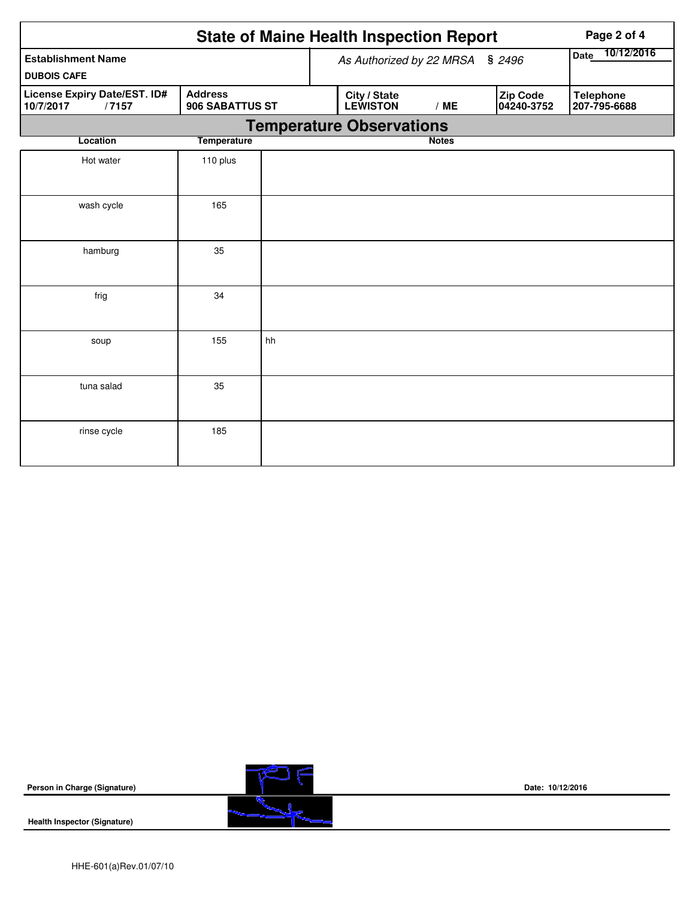|                                                    |                    |                                 |                                    | <b>State of Maine Health Inspection Report</b> | Page 2 of 4  |  |                        |                  |                 |  |  |
|----------------------------------------------------|--------------------|---------------------------------|------------------------------------|------------------------------------------------|--------------|--|------------------------|------------------|-----------------|--|--|
| <b>Establishment Name</b><br><b>DUBOIS CAFE</b>    |                    |                                 | As Authorized by 22 MRSA<br>\$2496 |                                                |              |  |                        |                  | Date 10/12/2016 |  |  |
| License Expiry Date/EST. ID#<br>/7157<br>10/7/2017 | <b>Address</b>     | 906 SABATTUS ST                 |                                    | City / State<br><b>LEWISTON</b><br>/ME         |              |  | Zip Code<br>04240-3752 | <b>Telephone</b> | 207-795-6688    |  |  |
|                                                    |                    | <b>Temperature Observations</b> |                                    |                                                |              |  |                        |                  |                 |  |  |
| Location                                           | <b>Temperature</b> |                                 |                                    |                                                | <b>Notes</b> |  |                        |                  |                 |  |  |
| Hot water                                          | 110 plus           |                                 |                                    |                                                |              |  |                        |                  |                 |  |  |
| wash cycle                                         | 165                |                                 |                                    |                                                |              |  |                        |                  |                 |  |  |
| hamburg                                            | 35                 |                                 |                                    |                                                |              |  |                        |                  |                 |  |  |
| frig                                               | 34                 |                                 |                                    |                                                |              |  |                        |                  |                 |  |  |
| soup                                               | 155                | hh                              |                                    |                                                |              |  |                        |                  |                 |  |  |
| tuna salad                                         | 35                 |                                 |                                    |                                                |              |  |                        |                  |                 |  |  |
| rinse cycle                                        | 185                |                                 |                                    |                                                |              |  |                        |                  |                 |  |  |





**Date: 10/12/2016**

**Health Inspector (Signature)**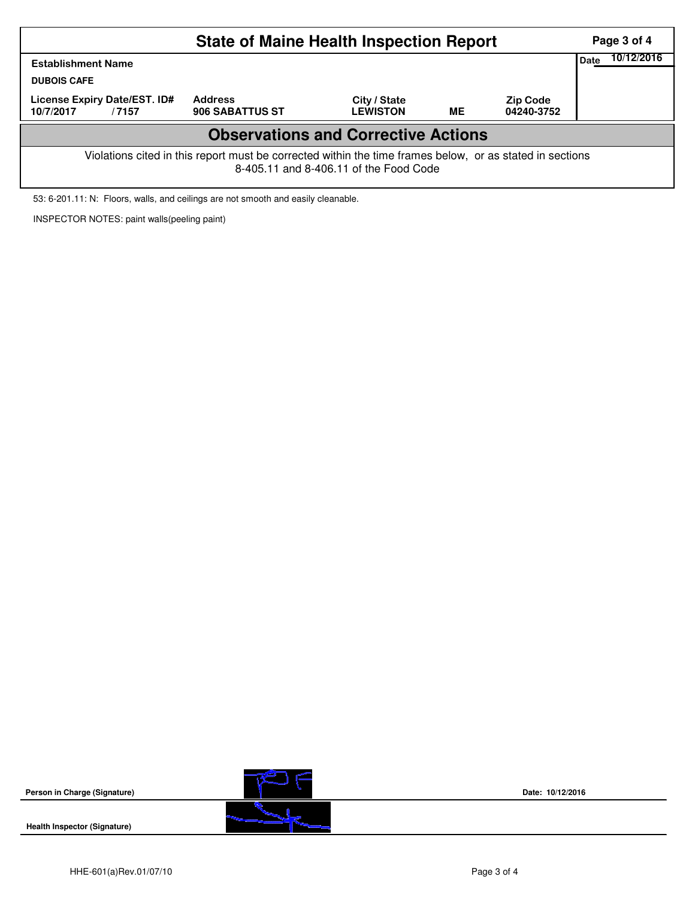| <b>State of Maine Health Inspection Report</b><br>Page 3 of 4                                                                                      |                                   |                                 |    |                               |  |  |  |  |  |  |  |
|----------------------------------------------------------------------------------------------------------------------------------------------------|-----------------------------------|---------------------------------|----|-------------------------------|--|--|--|--|--|--|--|
| <b>Establishment Name</b><br><b>DUBOIS CAFE</b>                                                                                                    | Date                              | 10/12/2016                      |    |                               |  |  |  |  |  |  |  |
| License Expiry Date/EST. ID#<br>10/7/2017<br>/7157                                                                                                 | <b>Address</b><br>906 SABATTUS ST | City / State<br><b>LEWISTON</b> | ME | <b>Zip Code</b><br>04240-3752 |  |  |  |  |  |  |  |
| <b>Observations and Corrective Actions</b>                                                                                                         |                                   |                                 |    |                               |  |  |  |  |  |  |  |
| Violations cited in this report must be corrected within the time frames below, or as stated in sections<br>8-405.11 and 8-406.11 of the Food Code |                                   |                                 |    |                               |  |  |  |  |  |  |  |

53: 6-201.11: N: Floors, walls, and ceilings are not smooth and easily cleanable.

INSPECTOR NOTES: paint walls(peeling paint)